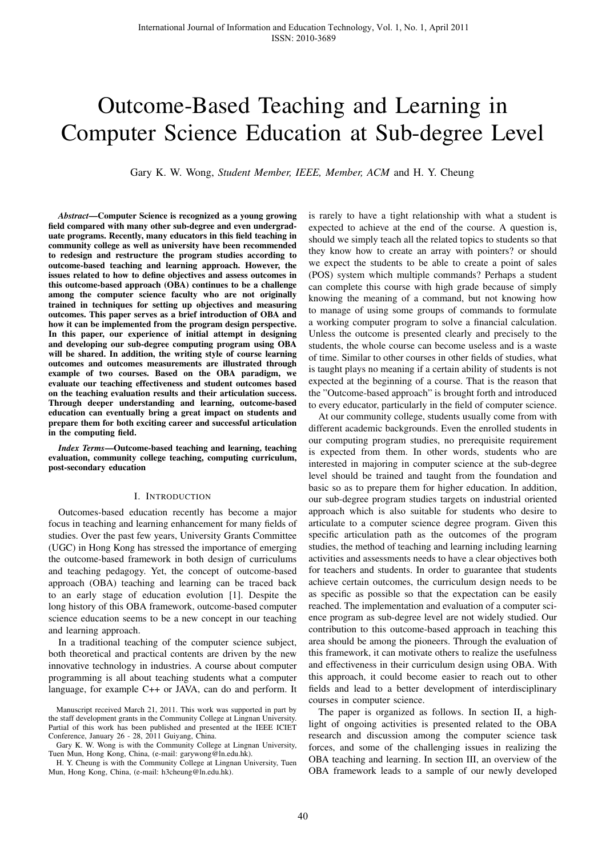# Outcome-Based Teaching and Learning in Computer Science Education at Sub-degree Level

Gary K. W. Wong, *Student Member, IEEE, Member, ACM* and H. Y. Cheung

*Abstract*—Computer Science is recognized as a young growing field compared with many other sub-degree and even undergraduate programs. Recently, many educators in this field teaching in community college as well as university have been recommended to redesign and restructure the program studies according to outcome-based teaching and learning approach. However, the issues related to how to define objectives and assess outcomes in this outcome-based approach (OBA) continues to be a challenge among the computer science faculty who are not originally trained in techniques for setting up objectives and measuring outcomes. This paper serves as a brief introduction of OBA and how it can be implemented from the program design perspective. In this paper, our experience of initial attempt in designing and developing our sub-degree computing program using OBA will be shared. In addition, the writing style of course learning outcomes and outcomes measurements are illustrated through example of two courses. Based on the OBA paradigm, we evaluate our teaching effectiveness and student outcomes based on the teaching evaluation results and their articulation success. Through deeper understanding and learning, outcome-based education can eventually bring a great impact on students and prepare them for both exciting career and successful articulation in the computing field.

*Index Terms*—Outcome-based teaching and learning, teaching evaluation, community college teaching, computing curriculum, post-secondary education

#### I. INTRODUCTION

Outcomes-based education recently has become a major focus in teaching and learning enhancement for many fields of studies. Over the past few years, University Grants Committee (UGC) in Hong Kong has stressed the importance of emerging the outcome-based framework in both design of curriculums and teaching pedagogy. Yet, the concept of outcome-based approach (OBA) teaching and learning can be traced back to an early stage of education evolution [1]. Despite the long history of this OBA framework, outcome-based computer science education seems to be a new concept in our teaching and learning approach.

In a traditional teaching of the computer science subject, both theoretical and practical contents are driven by the new innovative technology in industries. A course about computer programming is all about teaching students what a computer language, for example C++ or JAVA, can do and perform. It

Manuscript received March 21, 2011. This work was supported in part by the staff development grants in the Community College at Lingnan University. Partial of this work has been published and presented at the IEEE ICIET Conference, January 26 - 28, 2011 Guiyang, China.

Gary K. W. Wong is with the Community College at Lingnan University, Tuen Mun, Hong Kong, China, (e-mail: garywong@ln.edu.hk).

H. Y. Cheung is with the Community College at Lingnan University, Tuen Mun, Hong Kong, China, (e-mail: h3cheung@ln.edu.hk).

is rarely to have a tight relationship with what a student is expected to achieve at the end of the course. A question is, should we simply teach all the related topics to students so that they know how to create an array with pointers? or should we expect the students to be able to create a point of sales (POS) system which multiple commands? Perhaps a student can complete this course with high grade because of simply knowing the meaning of a command, but not knowing how to manage of using some groups of commands to formulate a working computer program to solve a financial calculation. Unless the outcome is presented clearly and precisely to the students, the whole course can become useless and is a waste of time. Similar to other courses in other fields of studies, what is taught plays no meaning if a certain ability of students is not expected at the beginning of a course. That is the reason that the "Outcome-based approach" is brought forth and introduced to every educator, particularly in the field of computer science.

At our community college, students usually come from with different academic backgrounds. Even the enrolled students in our computing program studies, no prerequisite requirement is expected from them. In other words, students who are interested in majoring in computer science at the sub-degree level should be trained and taught from the foundation and basic so as to prepare them for higher education. In addition, our sub-degree program studies targets on industrial oriented approach which is also suitable for students who desire to articulate to a computer science degree program. Given this specific articulation path as the outcomes of the program studies, the method of teaching and learning including learning activities and assessments needs to have a clear objectives both for teachers and students. In order to guarantee that students achieve certain outcomes, the curriculum design needs to be as specific as possible so that the expectation can be easily reached. The implementation and evaluation of a computer science program as sub-degree level are not widely studied. Our contribution to this outcome-based approach in teaching this area should be among the pioneers. Through the evaluation of this framework, it can motivate others to realize the usefulness and effectiveness in their curriculum design using OBA. With this approach, it could become easier to reach out to other fields and lead to a better development of interdisciplinary courses in computer science.

The paper is organized as follows. In section II, a highlight of ongoing activities is presented related to the OBA research and discussion among the computer science task forces, and some of the challenging issues in realizing the OBA teaching and learning. In section III, an overview of the OBA framework leads to a sample of our newly developed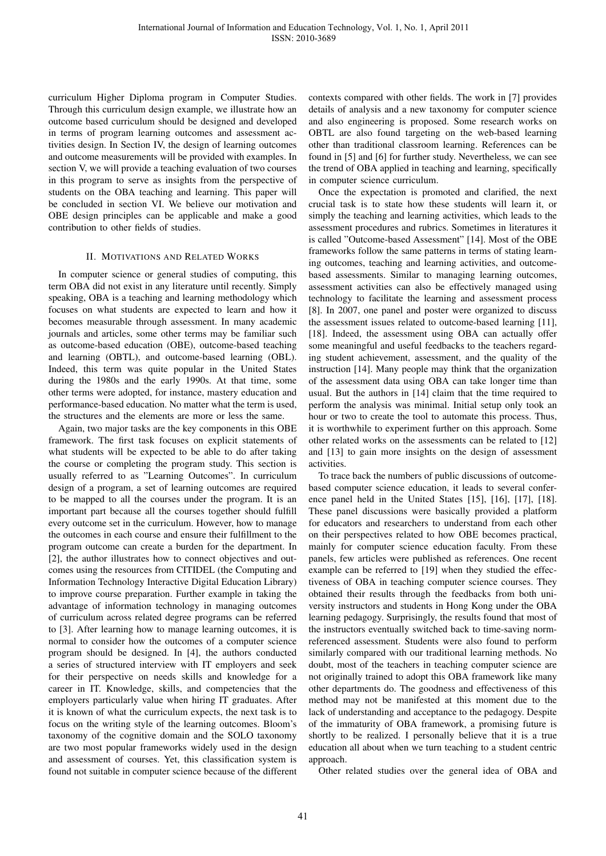curriculum Higher Diploma program in Computer Studies. Through this curriculum design example, we illustrate how an outcome based curriculum should be designed and developed in terms of program learning outcomes and assessment activities design. In Section IV, the design of learning outcomes and outcome measurements will be provided with examples. In section V, we will provide a teaching evaluation of two courses in this program to serve as insights from the perspective of students on the OBA teaching and learning. This paper will be concluded in section VI. We believe our motivation and OBE design principles can be applicable and make a good contribution to other fields of studies.

### II. MOTIVATIONS AND RELATED WORKS

In computer science or general studies of computing, this term OBA did not exist in any literature until recently. Simply speaking, OBA is a teaching and learning methodology which focuses on what students are expected to learn and how it becomes measurable through assessment. In many academic journals and articles, some other terms may be familiar such as outcome-based education (OBE), outcome-based teaching and learning (OBTL), and outcome-based learning (OBL). Indeed, this term was quite popular in the United States during the 1980s and the early 1990s. At that time, some other terms were adopted, for instance, mastery education and performance-based education. No matter what the term is used, the structures and the elements are more or less the same.

Again, two major tasks are the key components in this OBE framework. The first task focuses on explicit statements of what students will be expected to be able to do after taking the course or completing the program study. This section is usually referred to as "Learning Outcomes". In curriculum design of a program, a set of learning outcomes are required to be mapped to all the courses under the program. It is an important part because all the courses together should fulfill every outcome set in the curriculum. However, how to manage the outcomes in each course and ensure their fulfillment to the program outcome can create a burden for the department. In [2], the author illustrates how to connect objectives and outcomes using the resources from CITIDEL (the Computing and Information Technology Interactive Digital Education Library) to improve course preparation. Further example in taking the advantage of information technology in managing outcomes of curriculum across related degree programs can be referred to [3]. After learning how to manage learning outcomes, it is normal to consider how the outcomes of a computer science program should be designed. In [4], the authors conducted a series of structured interview with IT employers and seek for their perspective on needs skills and knowledge for a career in IT. Knowledge, skills, and competencies that the employers particularly value when hiring IT graduates. After it is known of what the curriculum expects, the next task is to focus on the writing style of the learning outcomes. Bloom's taxonomy of the cognitive domain and the SOLO taxonomy are two most popular frameworks widely used in the design and assessment of courses. Yet, this classification system is found not suitable in computer science because of the different

contexts compared with other fields. The work in [7] provides details of analysis and a new taxonomy for computer science and also engineering is proposed. Some research works on OBTL are also found targeting on the web-based learning other than traditional classroom learning. References can be found in [5] and [6] for further study. Nevertheless, we can see the trend of OBA applied in teaching and learning, specifically in computer science curriculum.

Once the expectation is promoted and clarified, the next crucial task is to state how these students will learn it, or simply the teaching and learning activities, which leads to the assessment procedures and rubrics. Sometimes in literatures it is called "Outcome-based Assessment" [14]. Most of the OBE frameworks follow the same patterns in terms of stating learning outcomes, teaching and learning activities, and outcomebased assessments. Similar to managing learning outcomes, assessment activities can also be effectively managed using technology to facilitate the learning and assessment process [8]. In 2007, one panel and poster were organized to discuss the assessment issues related to outcome-based learning [11], [18]. Indeed, the assessment using OBA can actually offer some meaningful and useful feedbacks to the teachers regarding student achievement, assessment, and the quality of the instruction [14]. Many people may think that the organization of the assessment data using OBA can take longer time than usual. But the authors in [14] claim that the time required to perform the analysis was minimal. Initial setup only took an hour or two to create the tool to automate this process. Thus, it is worthwhile to experiment further on this approach. Some other related works on the assessments can be related to [12] and [13] to gain more insights on the design of assessment activities.

To trace back the numbers of public discussions of outcomebased computer science education, it leads to several conference panel held in the United States [15], [16], [17], [18]. These panel discussions were basically provided a platform for educators and researchers to understand from each other on their perspectives related to how OBE becomes practical, mainly for computer science education faculty. From these panels, few articles were published as references. One recent example can be referred to [19] when they studied the effectiveness of OBA in teaching computer science courses. They obtained their results through the feedbacks from both university instructors and students in Hong Kong under the OBA learning pedagogy. Surprisingly, the results found that most of the instructors eventually switched back to time-saving normreferenced assessment. Students were also found to perform similarly compared with our traditional learning methods. No doubt, most of the teachers in teaching computer science are not originally trained to adopt this OBA framework like many other departments do. The goodness and effectiveness of this method may not be manifested at this moment due to the lack of understanding and acceptance to the pedagogy. Despite of the immaturity of OBA framework, a promising future is shortly to be realized. I personally believe that it is a true education all about when we turn teaching to a student centric approach.

Other related studies over the general idea of OBA and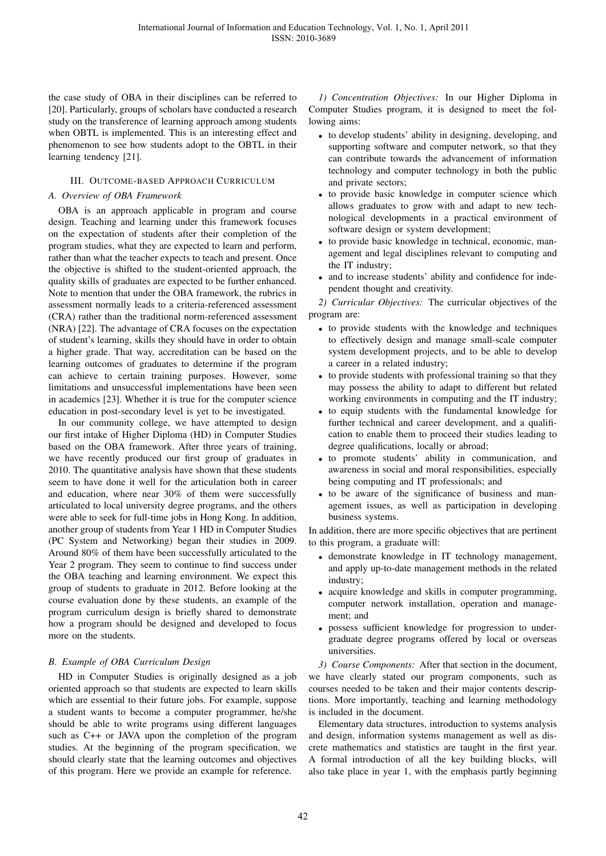the case study of OBA in their disciplines can be referred to [20]. Particularly, groups of scholars have conducted a research study on the transference of learning approach among students when OBTL is implemented. This is an interesting effect and phenomenon to see how students adopt to the OBTL in their learning tendency [21].

# III. OUTCOME-BASED APPROACH CURRICULUM

## *A. Overview of OBA Framework*

OBA is an approach applicable in program and course design. Teaching and learning under this framework focuses on the expectation of students after their completion of the program studies, what they are expected to learn and perform, rather than what the teacher expects to teach and present. Once the objective is shifted to the student-oriented approach, the quality skills of graduates are expected to be further enhanced. Note to mention that under the OBA framework, the rubrics in assessment normally leads to a criteria-referenced assessment (CRA) rather than the traditional norm-referenced assessment (NRA) [22]. The advantage of CRA focuses on the expectation of student's learning, skills they should have in order to obtain a higher grade. That way, accreditation can be based on the learning outcomes of graduates to determine if the program can achieve to certain training purposes. However, some limitations and unsuccessful implementations have been seen in academics [23]. Whether it is true for the computer science education in post-secondary level is yet to be investigated.

In our community college, we have attempted to design our first intake of Higher Diploma (HD) in Computer Studies based on the OBA framework. After three years of training, we have recently produced our first group of graduates in 2010. The quantitative analysis have shown that these students seem to have done it well for the articulation both in career and education, where near 30% of them were successfully articulated to local university degree programs, and the others were able to seek for full-time jobs in Hong Kong. In addition, another group of students from Year 1 HD in Computer Studies (PC System and Networking) began their studies in 2009. Around 80% of them have been successfully articulated to the Year 2 program. They seem to continue to find success under the OBA teaching and learning environment. We expect this group of students to graduate in 2012. Before looking at the course evaluation done by these students, an example of the program curriculum design is briefly shared to demonstrate how a program should be designed and developed to focus more on the students.

# *B. Example of OBA Curriculum Design*

HD in Computer Studies is originally designed as a job oriented approach so that students are expected to learn skills which are essential to their future jobs. For example, suppose a student wants to become a computer programmer, he/she should be able to write programs using different languages such as C++ or JAVA upon the completion of the program studies. At the beginning of the program specification, we should clearly state that the learning outcomes and objectives of this program. Here we provide an example for reference.

*1) Concentration Objectives:* In our Higher Diploma in Computer Studies program, it is designed to meet the following aims:

- to develop students' ability in designing, developing, and supporting software and computer network, so that they can contribute towards the advancement of information technology and computer technology in both the public and private sectors;
- to provide basic knowledge in computer science which allows graduates to grow with and adapt to new technological developments in a practical environment of software design or system development;
- to provide basic knowledge in technical, economic, management and legal disciplines relevant to computing and the IT industry;
- and to increase students' ability and confidence for independent thought and creativity.

*2) Curricular Objectives:* The curricular objectives of the program are:

- to provide students with the knowledge and techniques to effectively design and manage small-scale computer system development projects, and to be able to develop a career in a related industry;
- to provide students with professional training so that they may possess the ability to adapt to different but related working environments in computing and the IT industry;
- to equip students with the fundamental knowledge for further technical and career development, and a qualification to enable them to proceed their studies leading to degree qualifications, locally or abroad;
- to promote students' ability in communication, and awareness in social and moral responsibilities, especially being computing and IT professionals; and
- to be aware of the significance of business and management issues, as well as participation in developing business systems.

In addition, there are more specific objectives that are pertinent to this program, a graduate will:

- demonstrate knowledge in IT technology management, and apply up-to-date management methods in the related industry;
- acquire knowledge and skills in computer programming, computer network installation, operation and management; and
- possess sufficient knowledge for progression to undergraduate degree programs offered by local or overseas universities.

*3) Course Components:* After that section in the document, we have clearly stated our program components, such as courses needed to be taken and their major contents descriptions. More importantly, teaching and learning methodology is included in the document.

Elementary data structures, introduction to systems analysis and design, information systems management as well as discrete mathematics and statistics are taught in the first year. A formal introduction of all the key building blocks, will also take place in year 1, with the emphasis partly beginning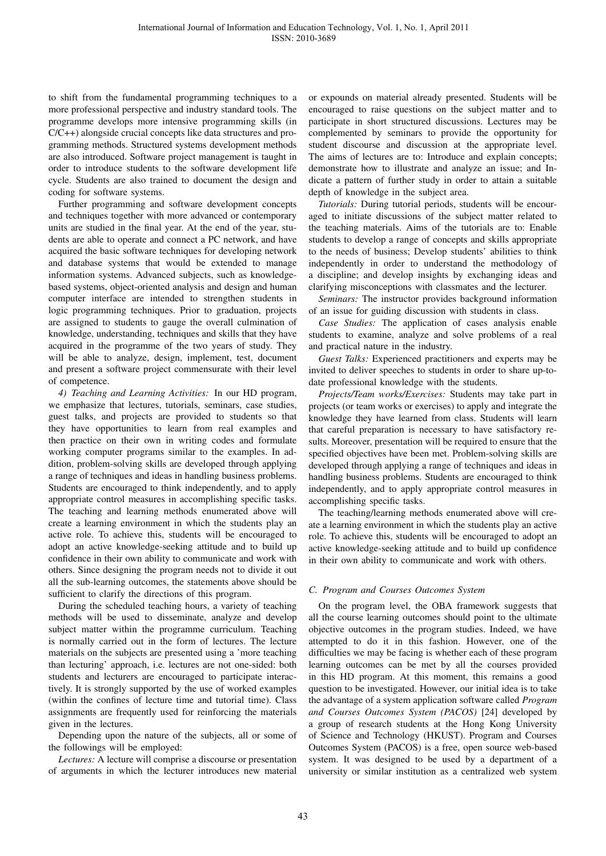to shift from the fundamental programming techniques to a more professional perspective and industry standard tools. The programme develops more intensive programming skills (in C/C++) alongside crucial concepts like data structures and programming methods. Structured systems development methods are also introduced. Software project management is taught in order to introduce students to the software development life cycle. Students are also trained to document the design and coding for software systems.

Further programming and software development concepts and techniques together with more advanced or contemporary units are studied in the final year. At the end of the year, students are able to operate and connect a PC network, and have acquired the basic software techniques for developing network and database systems that would be extended to manage information systems. Advanced subjects, such as knowledgebased systems, object-oriented analysis and design and human computer interface are intended to strengthen students in logic programming techniques. Prior to graduation, projects are assigned to students to gauge the overall culmination of knowledge, understanding, techniques and skills that they have acquired in the programme of the two years of study. They will be able to analyze, design, implement, test, document and present a software project commensurate with their level of competence.

*4) Teaching and Learning Activities:* In our HD program, we emphasize that lectures, tutorials, seminars, case studies, guest talks, and projects are provided to students so that they have opportunities to learn from real examples and then practice on their own in writing codes and formulate working computer programs similar to the examples. In addition, problem-solving skills are developed through applying a range of techniques and ideas in handling business problems. Students are encouraged to think independently, and to apply appropriate control measures in accomplishing specific tasks. The teaching and learning methods enumerated above will create a learning environment in which the students play an active role. To achieve this, students will be encouraged to adopt an active knowledge-seeking attitude and to build up confidence in their own ability to communicate and work with others. Since designing the program needs not to divide it out all the sub-learning outcomes, the statements above should be sufficient to clarify the directions of this program.

During the scheduled teaching hours, a variety of teaching methods will be used to disseminate, analyze and develop subject matter within the programme curriculum. Teaching is normally carried out in the form of lectures. The lecture materials on the subjects are presented using a 'more teaching than lecturing' approach, i.e. lectures are not one-sided: both students and lecturers are encouraged to participate interactively. It is strongly supported by the use of worked examples (within the confines of lecture time and tutorial time). Class assignments are frequently used for reinforcing the materials given in the lectures.

Depending upon the nature of the subjects, all or some of the followings will be employed:

*Lectures:* A lecture will comprise a discourse or presentation of arguments in which the lecturer introduces new material

or expounds on material already presented. Students will be encouraged to raise questions on the subject matter and to participate in short structured discussions. Lectures may be complemented by seminars to provide the opportunity for student discourse and discussion at the appropriate level. The aims of lectures are to: Introduce and explain concepts; demonstrate how to illustrate and analyze an issue; and Indicate a pattern of further study in order to attain a suitable depth of knowledge in the subject area.

*Tutorials:* During tutorial periods, students will be encouraged to initiate discussions of the subject matter related to the teaching materials. Aims of the tutorials are to: Enable students to develop a range of concepts and skills appropriate to the needs of business; Develop students' abilities to think independently in order to understand the methodology of a discipline; and develop insights by exchanging ideas and clarifying misconceptions with classmates and the lecturer.

*Seminars:* The instructor provides background information of an issue for guiding discussion with students in class.

*Case Studies:* The application of cases analysis enable students to examine, analyze and solve problems of a real and practical nature in the industry.

*Guest Talks:* Experienced practitioners and experts may be invited to deliver speeches to students in order to share up-todate professional knowledge with the students.

*Projects/Team works/Exercises:* Students may take part in projects (or team works or exercises) to apply and integrate the knowledge they have learned from class. Students will learn that careful preparation is necessary to have satisfactory results. Moreover, presentation will be required to ensure that the specified objectives have been met. Problem-solving skills are developed through applying a range of techniques and ideas in handling business problems. Students are encouraged to think independently, and to apply appropriate control measures in accomplishing specific tasks.

The teaching/learning methods enumerated above will create a learning environment in which the students play an active role. To achieve this, students will be encouraged to adopt an active knowledge-seeking attitude and to build up confidence in their own ability to communicate and work with others.

# *C. Program and Courses Outcomes System*

On the program level, the OBA framework suggests that all the course learning outcomes should point to the ultimate objective outcomes in the program studies. Indeed, we have attempted to do it in this fashion. However, one of the difficulties we may be facing is whether each of these program learning outcomes can be met by all the courses provided in this HD program. At this moment, this remains a good question to be investigated. However, our initial idea is to take the advantage of a system application software called *Program and Courses Outcomes System (PACOS)* [24] developed by a group of research students at the Hong Kong University of Science and Technology (HKUST). Program and Courses Outcomes System (PACOS) is a free, open source web-based system. It was designed to be used by a department of a university or similar institution as a centralized web system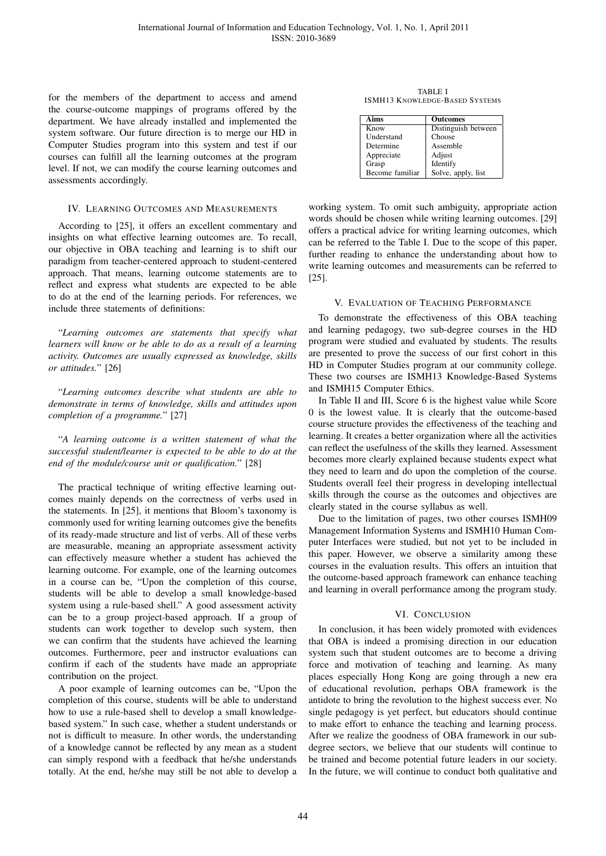for the members of the department to access and amend the course-outcome mappings of programs offered by the department. We have already installed and implemented the system software. Our future direction is to merge our HD in Computer Studies program into this system and test if our courses can fulfill all the learning outcomes at the program level. If not, we can modify the course learning outcomes and assessments accordingly.

### IV. LEARNING OUTCOMES AND MEASUREMENTS

According to [25], it offers an excellent commentary and insights on what effective learning outcomes are. To recall, our objective in OBA teaching and learning is to shift our paradigm from teacher-centered approach to student-centered approach. That means, learning outcome statements are to reflect and express what students are expected to be able to do at the end of the learning periods. For references, we include three statements of definitions:

"*Learning outcomes are statements that specify what learners will know or be able to do as a result of a learning activity. Outcomes are usually expressed as knowledge, skills or attitudes.*" [26]

"*Learning outcomes describe what students are able to demonstrate in terms of knowledge, skills and attitudes upon completion of a programme.*" [27]

"*A learning outcome is a written statement of what the successful student/learner is expected to be able to do at the end of the module/course unit or qualification.*" [28]

The practical technique of writing effective learning outcomes mainly depends on the correctness of verbs used in the statements. In [25], it mentions that Bloom's taxonomy is commonly used for writing learning outcomes give the benefits of its ready-made structure and list of verbs. All of these verbs are measurable, meaning an appropriate assessment activity can effectively measure whether a student has achieved the learning outcome. For example, one of the learning outcomes in a course can be, "Upon the completion of this course, students will be able to develop a small knowledge-based system using a rule-based shell." A good assessment activity can be to a group project-based approach. If a group of students can work together to develop such system, then we can confirm that the students have achieved the learning outcomes. Furthermore, peer and instructor evaluations can confirm if each of the students have made an appropriate contribution on the project.

A poor example of learning outcomes can be, "Upon the completion of this course, students will be able to understand how to use a rule-based shell to develop a small knowledgebased system." In such case, whether a student understands or not is difficult to measure. In other words, the understanding of a knowledge cannot be reflected by any mean as a student can simply respond with a feedback that he/she understands totally. At the end, he/she may still be not able to develop a

TABLE I ISMH13 KNOWLEDGE-BASED SYSTEMS

| Aims            | <b>Outcomes</b>     |
|-----------------|---------------------|
| Know            | Distinguish between |
| Understand      | Choose              |
| Determine       | Assemble            |
| Appreciate      | Adjust              |
| Grasp           | Identify            |
| Become familiar | Solve, apply, list  |

working system. To omit such ambiguity, appropriate action words should be chosen while writing learning outcomes. [29] offers a practical advice for writing learning outcomes, which can be referred to the Table I. Due to the scope of this paper, further reading to enhance the understanding about how to write learning outcomes and measurements can be referred to [25].

### V. EVALUATION OF TEACHING PERFORMANCE

To demonstrate the effectiveness of this OBA teaching and learning pedagogy, two sub-degree courses in the HD program were studied and evaluated by students. The results are presented to prove the success of our first cohort in this HD in Computer Studies program at our community college. These two courses are ISMH13 Knowledge-Based Systems and ISMH15 Computer Ethics.

In Table II and III, Score 6 is the highest value while Score 0 is the lowest value. It is clearly that the outcome-based course structure provides the effectiveness of the teaching and learning. It creates a better organization where all the activities can reflect the usefulness of the skills they learned. Assessment becomes more clearly explained because students expect what they need to learn and do upon the completion of the course. Students overall feel their progress in developing intellectual skills through the course as the outcomes and objectives are clearly stated in the course syllabus as well.

Due to the limitation of pages, two other courses ISMH09 Management Information Systems and ISMH10 Human Computer Interfaces were studied, but not yet to be included in this paper. However, we observe a similarity among these courses in the evaluation results. This offers an intuition that the outcome-based approach framework can enhance teaching and learning in overall performance among the program study.

## VI. CONCLUSION

In conclusion, it has been widely promoted with evidences that OBA is indeed a promising direction in our education system such that student outcomes are to become a driving force and motivation of teaching and learning. As many places especially Hong Kong are going through a new era of educational revolution, perhaps OBA framework is the antidote to bring the revolution to the highest success ever. No single pedagogy is yet perfect, but educators should continue to make effort to enhance the teaching and learning process. After we realize the goodness of OBA framework in our subdegree sectors, we believe that our students will continue to be trained and become potential future leaders in our society. In the future, we will continue to conduct both qualitative and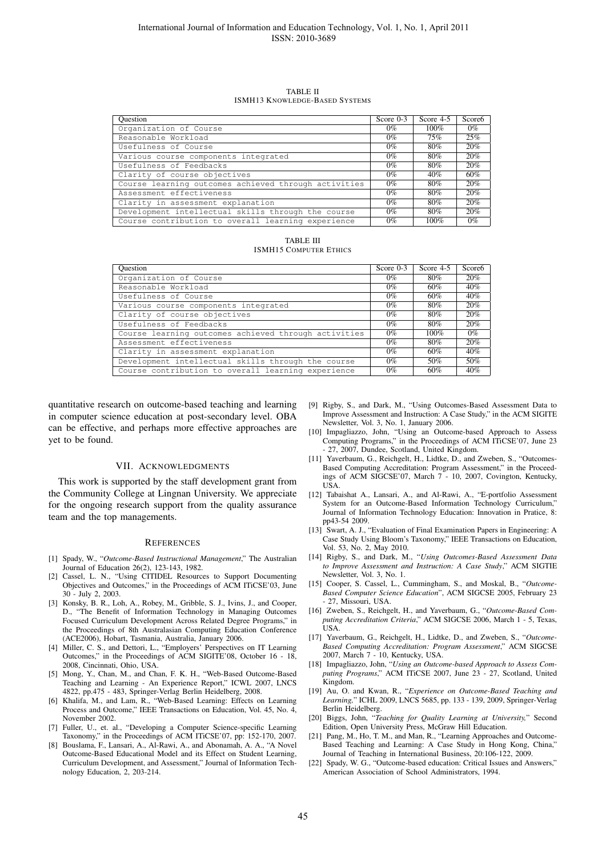#### International Journal of Information and Education Technology, Vol. 1, No. 1, April 2011 ISSN: 2010-3689

#### TABLE II ISMH13 KNOWLEDGE-BASED SYSTEMS

| Ouestion                                             | Score $0-3$ | Score 4-5 | Score <sub>6</sub> |
|------------------------------------------------------|-------------|-----------|--------------------|
| Organization of Course                               | $0\%$       | 100%      | $0\%$              |
| Reasonable Workload                                  | $0\%$       | 75%       | 25%                |
| Usefulness of Course                                 | $0\%$       | 80%       | 20%                |
| Various course components integrated                 | $0\%$       | 80%       | 20%                |
| Usefulness of Feedbacks                              | $0\%$       | 80%       | 20%                |
| Clarity of course objectives                         | $0\%$       | 40%       | 60%                |
| Course learning outcomes achieved through activities | $0\%$       | 80%       | 20%                |
| Assessment effectiveness                             | $0\%$       | 80%       | 20%                |
| Clarity in assessment explanation                    | $0\%$       | 80%       | 20%                |
| Development intellectual skills through the course   | $0\%$       | 80%       | 20%                |
| Course contribution to overall learning experience   | $0\%$       | 100%      | $0\%$              |

TABLE III ISMH15 COMPUTER ETHICS

| <b>Question</b>                                      | Score $0-3$ | Score 4-5 | Score6 |
|------------------------------------------------------|-------------|-----------|--------|
| Organization of Course                               | $0\%$       | 80%       | 20%    |
| Reasonable Workload                                  | $0\%$       | 60%       | $40\%$ |
| Usefulness of Course                                 | $0\%$       | 60%       | 40%    |
| Various course components integrated                 | $0\%$       | 80%       | 20%    |
| Clarity of course objectives                         | $0\%$       | 80%       | 20%    |
| Usefulness of Feedbacks                              | $0\%$       | 80%       | 20%    |
| Course learning outcomes achieved through activities | $0\%$       | $100\%$   | $0\%$  |
| Assessment effectiveness                             | $0\%$       | 80%       | 20%    |
| Clarity in assessment explanation                    |             | 60%       | 40%    |
| Development intellectual skills through the course   |             | 50%       | 50%    |
| Course contribution to overall learning experience   | $0\%$       | 60%       | 40%    |

quantitative research on outcome-based teaching and learning in computer science education at post-secondary level. OBA can be effective, and perhaps more effective approaches are yet to be found.

#### VII. ACKNOWLEDGMENTS

This work is supported by the staff development grant from the Community College at Lingnan University. We appreciate for the ongoing research support from the quality assurance team and the top managements.

#### **REFERENCES**

- [1] Spady, W., "*Outcome-Based Instructional Management*," The Australian Journal of Education 26(2), 123-143, 1982.
- [2] Cassel, L. N., "Using CITIDEL Resources to Support Documenting Objectives and Outcomes," in the Proceedings of ACM ITiCSE'03, June 30 - July 2, 2003.
- [3] Konsky, B. R., Loh, A., Robey, M., Gribble, S. J., Ivins, J., and Cooper, D., "The Benefit of Information Technology in Managing Outcomes Focused Curriculum Development Across Related Degree Programs," in the Proceedings of 8th Australasian Computing Education Conference (ACE2006), Hobart, Tasmania, Australia, January 2006.
- [4] Miller, C. S., and Dettori, L., "Employers' Perspectives on IT Learning Outcomes," in the Proceedings of ACM SIGITE'08, October 16 - 18, 2008, Cincinnati, Ohio, USA.
- [5] Mong, Y., Chan, M., and Chan, F. K. H., "Web-Based Outcome-Based Teaching and Learning - An Experience Report," ICWL 2007, LNCS 4822, pp.475 - 483, Springer-Verlag Berlin Heidelberg, 2008.
- [6] Khalifa, M., and Lam, R., "Web-Based Learning: Effects on Learning Process and Outcome," IEEE Transactions on Education, Vol. 45, No. 4, November 2002.
- [7] Fuller, U., et. al., "Developing a Computer Science-specific Learning Taxonomy," in the Proceedings of ACM ITiCSE'07, pp: 152-170, 2007.
- [8] Bouslama, F., Lansari, A., Al-Rawi, A., and Abonamah, A. A., "A Novel Outcome-Based Educational Model and its Effect on Student Learning, Curriculum Development, and Assessment," Journal of Information Technology Education, 2, 203-214.
- [9] Rigby, S., and Dark, M., "Using Outcomes-Based Assessment Data to Improve Assessment and Instruction: A Case Study," in the ACM SIGITE Newsletter, Vol. 3, No. 1, January 2006.
- [10] Impagliazzo, John, "Using an Outcome-based Approach to Assess Computing Programs," in the Proceedings of ACM ITiCSE'07, June 23 - 27, 2007, Dundee, Scotland, United Kingdom.
- [11] Yaverbaum, G., Reichgelt, H., Lidtke, D., and Zweben, S., "Outcomes-Based Computing Accreditation: Program Assessment," in the Proceedings of ACM SIGCSE'07, March 7 - 10, 2007, Covington, Kentucky, USA.
- [12] Tabaishat A., Lansari, A., and Al-Rawi, A., "E-portfolio Assessment System for an Outcome-Based Information Technology Curriculum," Journal of Information Technology Education: Innovation in Pratice, 8: pp43-54 2009.
- [13] Swart, A. J., "Evaluation of Final Examination Papers in Engineering: A Case Study Using Bloom's Taxonomy," IEEE Transactions on Education, Vol. 53, No. 2, May 2010.
- [14] Rigby, S., and Dark, M., "*Using Outcomes-Based Assessment Data to Improve Assessment and Instruction: A Case Study*," ACM SIGTIE Newsletter, Vol. 3, No. 1.
- [15] Cooper, S. Cassel, L., Cummingham, S., and Moskal, B., "*Outcome-Based Computer Science Education*", ACM SIGCSE 2005, February 23 - 27, Missouri, USA.
- [16] Zweben, S., Reichgelt, H., and Yaverbaum, G., "*Outcome-Based Computing Accreditation Criteria*," ACM SIGCSE 2006, March 1 - 5, Texas, USA.
- [17] Yaverbaum, G., Reichgelt, H., Lidtke, D., and Zweben, S., "*Outcome-Based Computing Accreditation: Program Assessment*," ACM SIGCSE 2007, March 7 - 10, Kentucky, USA.
- [18] Impagliazzo, John, "Using an Outcome-based Approach to Assess Com*puting Programs*," ACM ITiCSE 2007, June 23 - 27, Scotland, United Kingdom.
- [19] Au, O. and Kwan, R., "*Experience on Outcome-Based Teaching and Learning,*" ICHL 2009, LNCS 5685, pp. 133 - 139, 2009, Springer-Verlag Berlin Heidelberg.
- [20] Biggs, John, "*Teaching for Quality Learning at University,*" Second Edition, Open University Press, McGraw Hill Education.
- [21] Pang, M., Ho, T. M., and Man, R., "Learning Approaches and Outcome-Based Teaching and Learning: A Case Study in Hong Kong, China," Journal of Teaching in International Business, 20:106-122, 2009.
- [22] Spady, W. G., "Outcome-based education: Critical Issues and Answers." American Association of School Administrators, 1994.